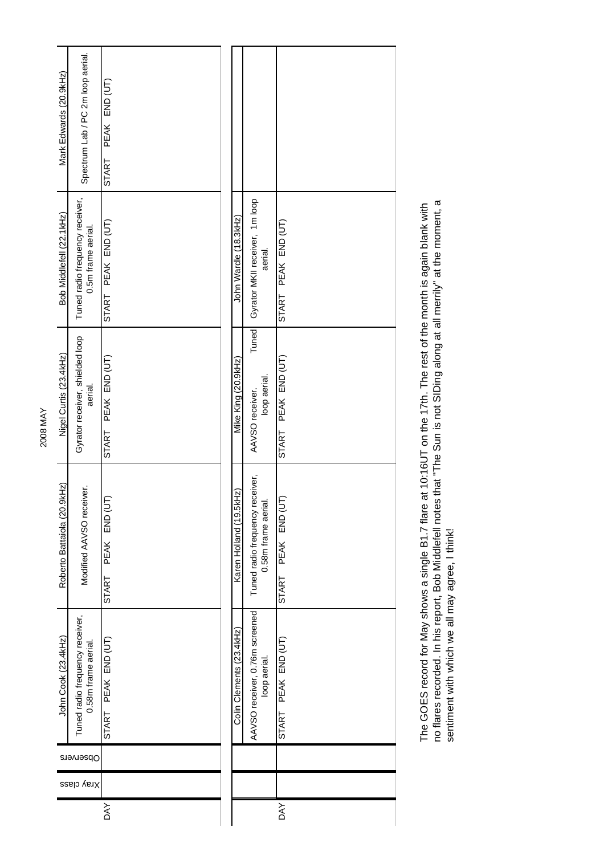| Mark Edwards (20.9kHz)      | Spectrum Lab / PC 2m loop aerial.                      | PEAK END (UT)<br><b>START</b> |  |                          |                                                        |                               |
|-----------------------------|--------------------------------------------------------|-------------------------------|--|--------------------------|--------------------------------------------------------|-------------------------------|
| Bob Middlefell (22.1kHz)    | Tuned radio frequency receiver,<br>0.5m frame aerial.  | START PEAK END (UT)           |  | John Wardle (18.3kHz)    | Gyrator MKII receiver, 1m loop<br>aerial.              | START PEAK END (UT)           |
| Nigel Curtis (23.4kHz)      | Gyrator receiver, shielded loop<br>aerial.             | START PEAK END (UT)           |  | Mike King (20.9kHz)      | Tuned<br>loop aerial.<br>AAVSO receiver.               | START PEAK END (UT)           |
| Roberto Battaiola (20.9kHz) | Modified AAVSO receiver.                               | PEAK END (UT)<br>START        |  | Karen Holland (19.5kHz)  | Tuned radio frequency receiver,<br>0.58m frame aerial. | PEAK END (UT)<br><b>START</b> |
| John Cook (23.4kHz)         | Tuned radio frequency receiver,<br>0.58m frame aerial. | START PEAK END (UT)           |  | Colin Clements (23.4kHz) | AAVSO receiver, 0.76m screened<br>loop aerial.         | START PEAK END (UT)           |
| Observers                   |                                                        |                               |  |                          |                                                        |                               |
| Xray class                  |                                                        |                               |  |                          |                                                        |                               |
|                             |                                                        | <b>DAY</b>                    |  |                          |                                                        | <b>DAY</b>                    |

The GOES record for May shows a single B1.7 flare at 10:16UT on the 17th. The rest of the month is again blank with<br>no flares recorded. In his report, Bob Middlefell notes that "The Sun is not SIDing along at all merrily" no flares recorded. In his report, Bob Middlefell notes that "The Sun is not SIDing along at all merrily" at the moment, a The GOES record for May shows a single B1.7 flare at 10:16UT on the 17th. The rest of the month is again blank with sentiment with which we all may agree, I think!

2008 MAY